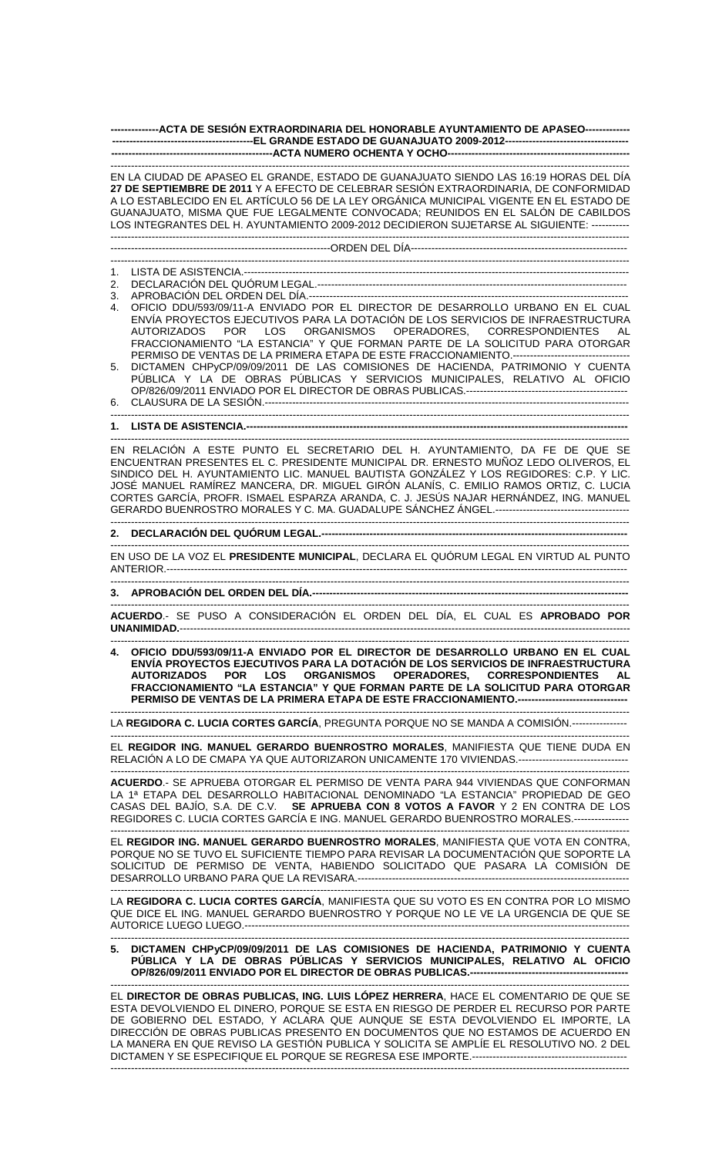**--------------ACTA DE SESIÓN EXTRAORDINARIA DEL HONORABLE AYUNTAMIENTO DE APASEO------------- -----------------------------------------EL GRANDE ESTADO DE GUANAJUATO 2009-2012------------------------------------ -----------------------------------------------ACTA NUMERO OCHENTA Y OCHO-----------------------------------------------------** 

------------------------------------------------------------------------------------------------------------------------------------------------------- EN LA CIUDAD DE APASEO EL GRANDE, ESTADO DE GUANAJUATO SIENDO LAS 16:19 HORAS DEL DÍA **27 DE SEPTIEMBRE DE 2011** Y A EFECTO DE CELEBRAR SESIÓN EXTRAORDINARIA, DE CONFORMIDAD A LO ESTABLECIDO EN EL ARTÍCULO 56 DE LA LEY ORGÁNICA MUNICIPAL VIGENTE EN EL ESTADO DE GUANAJUATO, MISMA QUE FUE LEGALMENTE CONVOCADA; REUNIDOS EN EL SALÓN DE CABILDOS LOS INTEGRANTES DEL H. AYUNTAMIENTO 2009-2012 DECIDIERON SUJETARSE AL SIGUIENTE: ----------- ------------------------------------------------------------------------------------------------------------------------------------------------------- ----------------------------------------------------------------ORDEN DEL DÍA--------------------------------------------------------------- ------------------------------------------------------------------------------------------------------------------------------------------------------- 1. LISTA DE ASISTENCIA.---------------------------------------------------------------------------------------------------------------- 2. DECLARACIÓN DEL QUÓRUM LEGAL.------------------------------------------------------------------------------------------ 3. APROBACIÓN DEL ORDEN DEL DÍA.---4. OFICIO DDU/593/09/11-A ENVIADO POR EL DIRECTOR DE DESARROLLO URBANO EN EL CUAL ENVÍA PROYECTOS EJECUTIVOS PARA LA DOTACIÓN DE LOS SERVICIOS DE INFRAESTRUCTURA OPERADORES, CORRESPONDIENTES AL FRACCIONAMIENTO "LA ESTANCIA" Y QUE FORMAN PARTE DE LA SOLICITUD PARA OTORGAR PERMISO DE VENTAS DE LA PRIMERA ETAPA DE ESTE FRACCIONAMIENTO.-----------5. DICTAMEN CHPyCP/09/09/2011 DE LAS COMISIONES DE HACIENDA, PATRIMONIO Y CUENTA PÚBLICA Y LA DE OBRAS PÚBLICAS Y SERVICIOS MUNICIPALES, RELATIVO AL OFICIO OP/826/09/2011 ENVIADO POR EL DIRECTOR DE OBRAS PUBLICAS.-----------------------------------------------

6. CLAUSURA DE LA SESIÓN.---------------------------------------------------------------------------------------------------------- -------------------------------------------------------------------------------------------------------------------------------------------------------

## **1. LISTA DE ASISTENCIA.----**

------------------------------------------------------------------------------------------------------------------------------------------------------- EN RELACIÓN A ESTE PUNTO EL SECRETARIO DEL H. AYUNTAMIENTO, DA FE DE QUE SE ENCUENTRAN PRESENTES EL C. PRESIDENTE MUNICIPAL DR. ERNESTO MUÑOZ LEDO OLIVEROS, EL SINDICO DEL H. AYUNTAMIENTO LIC. MANUEL BAUTISTA GONZÁLEZ Y LOS REGIDORES: C.P. Y LIC. JOSÉ MANUEL RAMÍREZ MANCERA, DR. MIGUEL GIRÓN ALANÍS, C. EMILIO RAMOS ORTIZ, C. LUCIA CORTES GARCÍA, PROFR. ISMAEL ESPARZA ARANDA, C. J. JESÚS NAJAR HERNÁNDEZ, ING. MANUEL GERARDO BUENROSTRO MORALES Y C. MA. GUADALUPE SÁNCHEZ ÁNGEL.---------------------------------------

## ------------------------------------------------------------------------------------------------------------------------------------------------------- **2. DECLARACIÓN DEL QUÓRUM LEGAL.-----------------------------------------------------------------------------------------**

------------------------------------------------------------------------------------------------------------------------------------------------------- EN USO DE LA VOZ EL **PRESIDENTE MUNICIPAL**, DECLARA EL QUÓRUM LEGAL EN VIRTUD AL PUNTO ANTERIOR.--------------------------------------------------------------------------------------------------------------------------------------

-------------------------------------------------------------------------------------------------------------------------------------------------------

## 3. APROBACIÓN DEL ORDEN DEL DÍA.-----

------------------------------------------------------------------------------------------------------------------------------------------------------- **ACUERDO**.- SE PUSO A CONSIDERACIÓN EL ORDEN DEL DÍA, EL CUAL ES **APROBADO POR** UNANIMIDAD.------------------------

------------------------------------------------------------------------------------------------------------------------------------------------------- **4. OFICIO DDU/593/09/11-A ENVIADO POR EL DIRECTOR DE DESARROLLO URBANO EN EL CUAL ENVÍA PROYECTOS EJECUTIVOS PARA LA DOTACIÓN DE LOS SERVICIOS DE INFRAESTRUCTURA AUTORIZADOS POR LOS ORGANISMOS OPERADORES, CORRESPONDIENTES AL FRACCIONAMIENTO "LA ESTANCIA" Y QUE FORMAN PARTE DE LA SOLICITUD PARA OTORGAR**  PERMISO DE VENTAS DE LA PRIMERA ETAPA DE ESTE FRACCIONAMIENTO.---

------------------------------------------------------------------------------------------------------------------------------------------------------- LA **REGIDORA C. LUCIA CORTES GARCÍA**, PREGUNTA PORQUE NO SE MANDA A COMISIÓN.----------------

------------------------------------------------------------------------------------------------------------------------------------------------------- EL **REGIDOR ING. MANUEL GERARDO BUENROSTRO MORALES**, MANIFIESTA QUE TIENE DUDA EN RELACIÓN A LO DE CMAPA YA QUE AUTORIZARON UNICAMENTE 170 VIVIENDAS.--------------------------------

------------------------------------------------------------------------------------------------------------------------------------------------------- **ACUERDO**.- SE APRUEBA OTORGAR EL PERMISO DE VENTA PARA 944 VIVIENDAS QUE CONFORMAN LA 1ª ETAPA DEL DESARROLLO HABITACIONAL DENOMINADO "LA ESTANCIA" PROPIEDAD DE GEO CASAS DEL BAJÍO, S.A. DE C.V. **SE APRUEBA CON 8 VOTOS A FAVOR** Y 2 EN CONTRA DE LOS REGIDORES C. LUCIA CORTES GARCÍA E ING. MANUEL GERARDO BUENROSTRO MORALES.----------------

------------------------------------------------------------------------------------------------------------------------------------------------------- EL **REGIDOR ING. MANUEL GERARDO BUENROSTRO MORALES**, MANIFIESTA QUE VOTA EN CONTRA, PORQUE NO SE TUVO EL SUFICIENTE TIEMPO PARA REVISAR LA DOCUMENTACIÓN QUE SOPORTE LA SOLICITUD DE PERMISO DE VENTA, HABIENDO SOLICITADO QUE PASARA LA COMISIÓN DE DESARROLLO URBANO PARA QUE LA REVISARA.-------------------------------------------------------------------------------

------------------------------------------------------------------------------------------------------------------------------------------------------- LA **REGIDORA C. LUCIA CORTES GARCÍA**, MANIFIESTA QUE SU VOTO ES EN CONTRA POR LO MISMO QUE DICE EL ING. MANUEL GERARDO BUENROSTRO Y PORQUE NO LE VE LA URGENCIA DE QUE SE AUTORICE LUEGO LUEGO.----------------------------------------------------------------------------------------------------------------

**5. DICTAMEN CHPyCP/09/09/2011 DE LAS COMISIONES DE HACIENDA, PATRIMONIO Y CUENTA PÚBLICA Y LA DE OBRAS PÚBLICAS Y SERVICIOS MUNICIPALES, RELATIVO AL OFICIO OP/826/09/2011 ENVIADO POR EL DIRECTOR DE OBRAS PUBLICAS.----------------------------------------------** 

------------------------------------------------------------------------------------------------------------------------------------------------------- EL **DIRECTOR DE OBRAS PUBLICAS, ING. LUIS LÓPEZ HERRERA**, HACE EL COMENTARIO DE QUE SE ESTA DEVOLVIENDO EL DINERO, PORQUE SE ESTA EN RIESGO DE PERDER EL RECURSO POR PARTE DE GOBIERNO DEL ESTADO, Y ACLARA QUE AUNQUE SE ESTA DEVOLVIENDO EL IMPORTE, LA DIRECCIÓN DE OBRAS PUBLICAS PRESENTO EN DOCUMENTOS QUE NO ESTAMOS DE ACUERDO EN LA MANERA EN QUE REVISO LA GESTIÓN PUBLICA Y SOLICITA SE AMPLÍE EL RESOLUTIVO NO. 2 DEL DICTAMEN Y SE ESPECIFIQUE EL PORQUE SE REGRESA ESE IMPORTE.-----------------------------------------------------------------------------------------------------------------------------------------------------------------------------------------